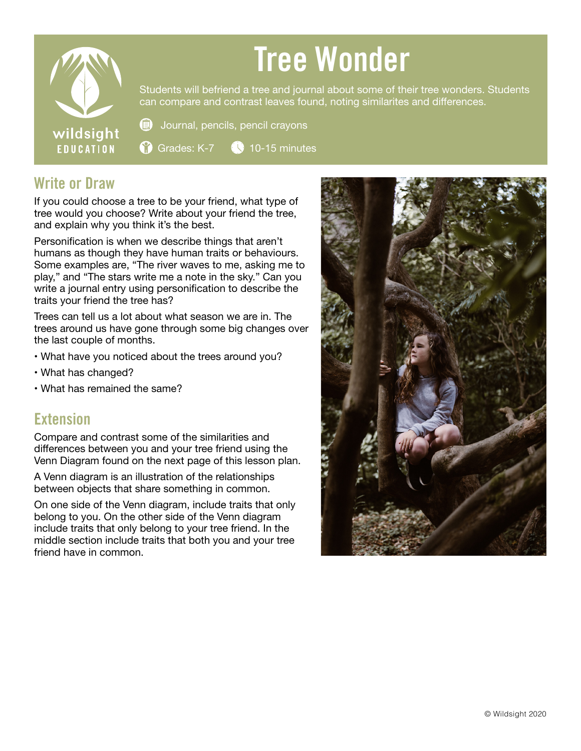

## Tree Wonder

Students will befriend a tree and journal about some of their tree wonders. Students can compare and contrast leaves found, noting similarites and differences.

Journal, pencils, pencil crayons

Grades:  $K-7$   $\bigcirc$  10-15 minutes

## Write or Draw

If you could choose a tree to be your friend, what type of tree would you choose? Write about your friend the tree, and explain why you think it's the best.

食

62

Personification is when we describe things that aren't humans as though they have human traits or behaviours. Some examples are, "The river waves to me, asking me to play," and "The stars write me a note in the sky." Can you write a journal entry using personification to describe the traits your friend the tree has?

Trees can tell us a lot about what season we are in. The trees around us have gone through some big changes over the last couple of months.

- What have you noticed about the trees around you?
- What has changed?
- What has remained the same?

## **Extension**

Compare and contrast some of the similarities and differences between you and your tree friend using the Venn Diagram found on the next page of this lesson plan.

A Venn diagram is an illustration of the relationships between objects that share something in common.

On one side of the Venn diagram, include traits that only belong to you. On the other side of the Venn diagram include traits that only belong to your tree friend. In the middle section include traits that both you and your tree friend have in common.